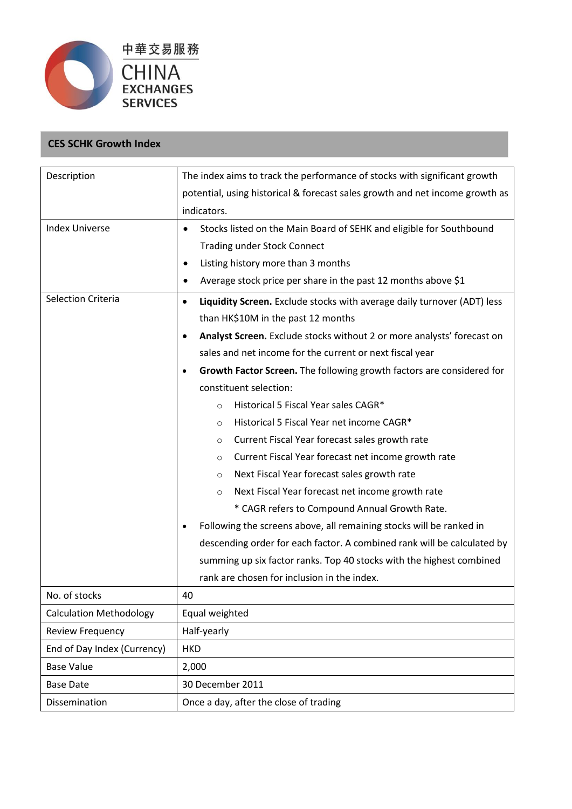

## **CES SCHK Growth Index**

| Description                    | The index aims to track the performance of stocks with significant growth            |  |  |
|--------------------------------|--------------------------------------------------------------------------------------|--|--|
|                                | potential, using historical & forecast sales growth and net income growth as         |  |  |
|                                | indicators.                                                                          |  |  |
| <b>Index Universe</b>          | Stocks listed on the Main Board of SEHK and eligible for Southbound                  |  |  |
|                                | <b>Trading under Stock Connect</b>                                                   |  |  |
|                                | Listing history more than 3 months<br>٠                                              |  |  |
|                                | Average stock price per share in the past 12 months above \$1                        |  |  |
| <b>Selection Criteria</b>      | Liquidity Screen. Exclude stocks with average daily turnover (ADT) less<br>$\bullet$ |  |  |
|                                | than HK\$10M in the past 12 months                                                   |  |  |
|                                | Analyst Screen. Exclude stocks without 2 or more analysts' forecast on<br>$\bullet$  |  |  |
|                                | sales and net income for the current or next fiscal year                             |  |  |
|                                | Growth Factor Screen. The following growth factors are considered for<br>$\bullet$   |  |  |
|                                | constituent selection:                                                               |  |  |
|                                | Historical 5 Fiscal Year sales CAGR*<br>$\circ$                                      |  |  |
|                                | Historical 5 Fiscal Year net income CAGR*<br>$\circ$                                 |  |  |
|                                | Current Fiscal Year forecast sales growth rate<br>$\circ$                            |  |  |
|                                | Current Fiscal Year forecast net income growth rate<br>$\circ$                       |  |  |
|                                | Next Fiscal Year forecast sales growth rate<br>$\circ$                               |  |  |
|                                | Next Fiscal Year forecast net income growth rate<br>$\circ$                          |  |  |
|                                | * CAGR refers to Compound Annual Growth Rate.                                        |  |  |
|                                | Following the screens above, all remaining stocks will be ranked in<br>$\bullet$     |  |  |
|                                | descending order for each factor. A combined rank will be calculated by              |  |  |
|                                | summing up six factor ranks. Top 40 stocks with the highest combined                 |  |  |
|                                | rank are chosen for inclusion in the index.                                          |  |  |
| No. of stocks                  | 40                                                                                   |  |  |
| <b>Calculation Methodology</b> | Equal weighted                                                                       |  |  |
| Review Frequency               | Half-yearly                                                                          |  |  |
| End of Day Index (Currency)    | <b>HKD</b>                                                                           |  |  |
| <b>Base Value</b>              | 2,000                                                                                |  |  |
| <b>Base Date</b>               | 30 December 2011                                                                     |  |  |
| Dissemination                  | Once a day, after the close of trading                                               |  |  |